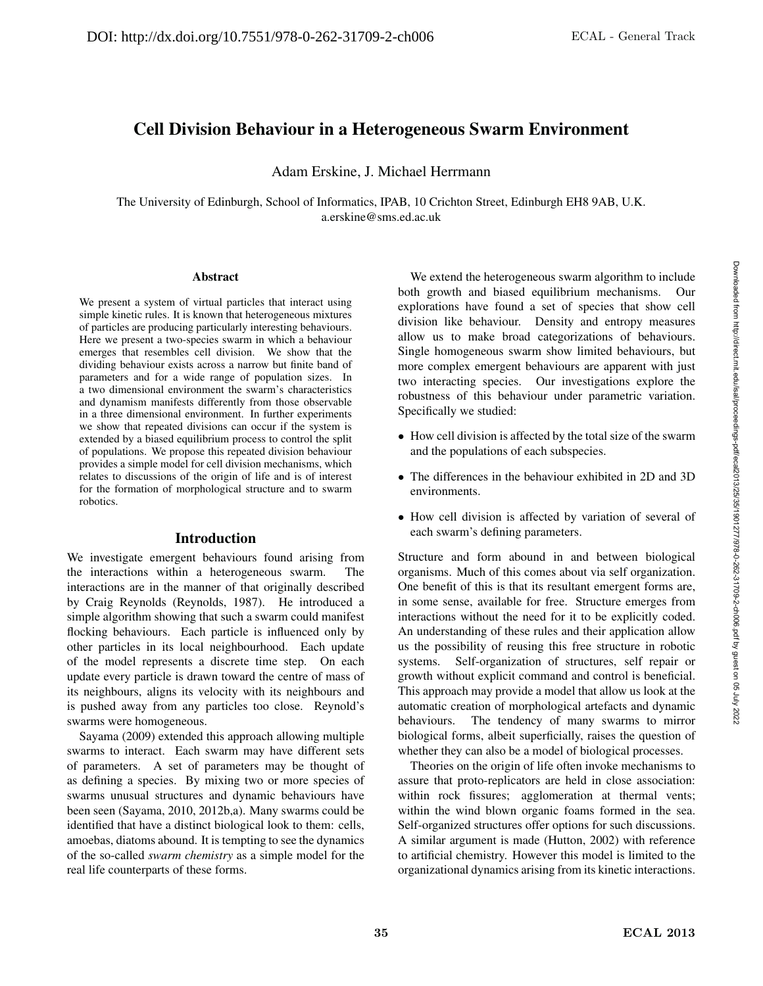# Cell Division Behaviour in a Heterogeneous Swarm Environment

Adam Erskine, J. Michael Herrmann

The University of Edinburgh, School of Informatics, IPAB, 10 Crichton Street, Edinburgh EH8 9AB, U.K. a.erskine@sms.ed.ac.uk

#### Abstract

We present a system of virtual particles that interact using simple kinetic rules. It is known that heterogeneous mixtures of particles are producing particularly interesting behaviours. Here we present a two-species swarm in which a behaviour emerges that resembles cell division. We show that the dividing behaviour exists across a narrow but finite band of parameters and for a wide range of population sizes. In a two dimensional environment the swarm's characteristics and dynamism manifests differently from those observable in a three dimensional environment. In further experiments we show that repeated divisions can occur if the system is extended by a biased equilibrium process to control the split of populations. We propose this repeated division behaviour provides a simple model for cell division mechanisms, which relates to discussions of the origin of life and is of interest for the formation of morphological structure and to swarm robotics.

#### Introduction

We investigate emergent behaviours found arising from the interactions within a heterogeneous swarm. The interactions are in the manner of that originally described by Craig Reynolds (Reynolds, 1987). He introduced a simple algorithm showing that such a swarm could manifest flocking behaviours. Each particle is influenced only by other particles in its local neighbourhood. Each update of the model represents a discrete time step. On each update every particle is drawn toward the centre of mass of its neighbours, aligns its velocity with its neighbours and is pushed away from any particles too close. Reynold's swarms were homogeneous.

Sayama (2009) extended this approach allowing multiple swarms to interact. Each swarm may have different sets of parameters. A set of parameters may be thought of as defining a species. By mixing two or more species of swarms unusual structures and dynamic behaviours have been seen (Sayama, 2010, 2012b,a). Many swarms could be identified that have a distinct biological look to them: cells, amoebas, diatoms abound. It is tempting to see the dynamics of the so-called *swarm chemistry* as a simple model for the real life counterparts of these forms.

We extend the heterogeneous swarm algorithm to include both growth and biased equilibrium mechanisms. Our explorations have found a set of species that show cell division like behaviour. Density and entropy measures allow us to make broad categorizations of behaviours. Single homogeneous swarm show limited behaviours, but more complex emergent behaviours are apparent with just two interacting species. Our investigations explore the robustness of this behaviour under parametric variation. Specifically we studied:

- How cell division is affected by the total size of the swarm and the populations of each subspecies.
- The differences in the behaviour exhibited in 2D and 3D environments.
- How cell division is affected by variation of several of each swarm's defining parameters.

Structure and form abound in and between biological organisms. Much of this comes about via self organization. One benefit of this is that its resultant emergent forms are, in some sense, available for free. Structure emerges from interactions without the need for it to be explicitly coded. An understanding of these rules and their application allow us the possibility of reusing this free structure in robotic systems. Self-organization of structures, self repair or growth without explicit command and control is beneficial. This approach may provide a model that allow us look at the automatic creation of morphological artefacts and dynamic behaviours. The tendency of many swarms to mirror biological forms, albeit superficially, raises the question of whether they can also be a model of biological processes.

Theories on the origin of life often invoke mechanisms to assure that proto-replicators are held in close association: within rock fissures; agglomeration at thermal vents; within the wind blown organic foams formed in the sea. Self-organized structures offer options for such discussions. A similar argument is made (Hutton, 2002) with reference to artificial chemistry. However this model is limited to the organizational dynamics arising from its kinetic interactions.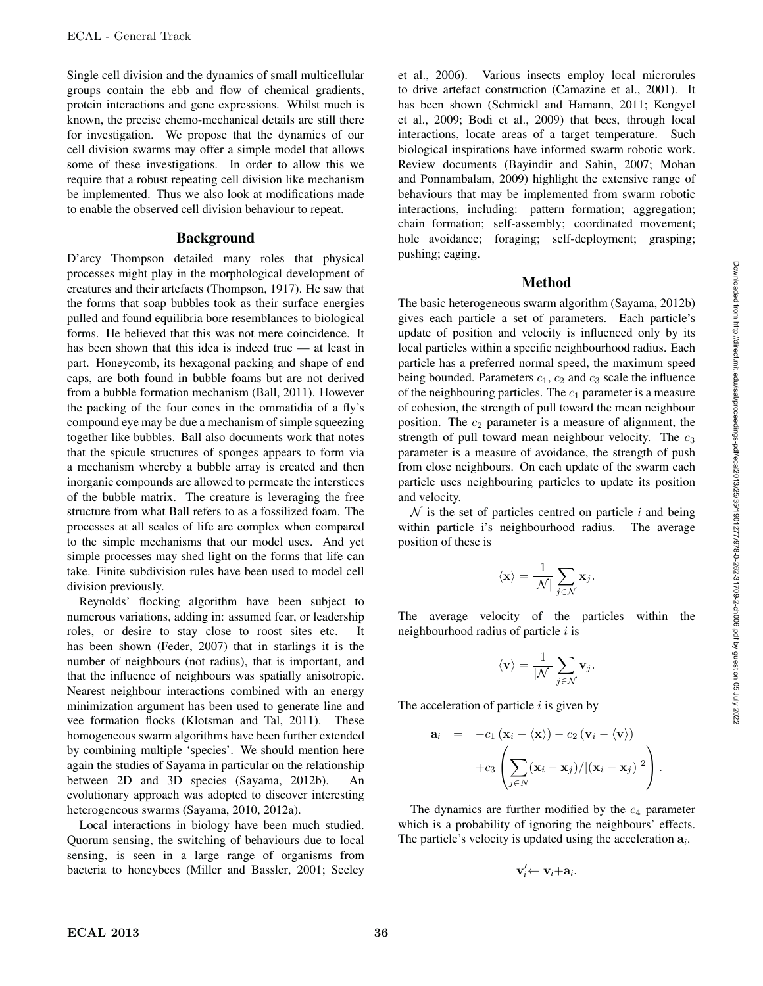Single cell division and the dynamics of small multicellular groups contain the ebb and flow of chemical gradients, protein interactions and gene expressions. Whilst much is known, the precise chemo-mechanical details are still there for investigation. We propose that the dynamics of our cell division swarms may offer a simple model that allows some of these investigations. In order to allow this we require that a robust repeating cell division like mechanism be implemented. Thus we also look at modifications made to enable the observed cell division behaviour to repeat.

#### **Background**

D'arcy Thompson detailed many roles that physical processes might play in the morphological development of creatures and their artefacts (Thompson, 1917). He saw that the forms that soap bubbles took as their surface energies pulled and found equilibria bore resemblances to biological forms. He believed that this was not mere coincidence. It has been shown that this idea is indeed true — at least in part. Honeycomb, its hexagonal packing and shape of end caps, are both found in bubble foams but are not derived from a bubble formation mechanism (Ball, 2011). However the packing of the four cones in the ommatidia of a fly's compound eye may be due a mechanism of simple squeezing together like bubbles. Ball also documents work that notes that the spicule structures of sponges appears to form via a mechanism whereby a bubble array is created and then inorganic compounds are allowed to permeate the interstices of the bubble matrix. The creature is leveraging the free structure from what Ball refers to as a fossilized foam. The processes at all scales of life are complex when compared to the simple mechanisms that our model uses. And yet simple processes may shed light on the forms that life can take. Finite subdivision rules have been used to model cell division previously.

Reynolds' flocking algorithm have been subject to numerous variations, adding in: assumed fear, or leadership roles, or desire to stay close to roost sites etc. It has been shown (Feder, 2007) that in starlings it is the number of neighbours (not radius), that is important, and that the influence of neighbours was spatially anisotropic. Nearest neighbour interactions combined with an energy minimization argument has been used to generate line and vee formation flocks (Klotsman and Tal, 2011). These homogeneous swarm algorithms have been further extended by combining multiple 'species'. We should mention here again the studies of Sayama in particular on the relationship between 2D and 3D species (Sayama, 2012b). An evolutionary approach was adopted to discover interesting heterogeneous swarms (Sayama, 2010, 2012a).

Local interactions in biology have been much studied. Quorum sensing, the switching of behaviours due to local sensing, is seen in a large range of organisms from bacteria to honeybees (Miller and Bassler, 2001; Seeley

et al., 2006). Various insects employ local microrules to drive artefact construction (Camazine et al., 2001). It has been shown (Schmickl and Hamann, 2011; Kengyel et al., 2009; Bodi et al., 2009) that bees, through local interactions, locate areas of a target temperature. Such biological inspirations have informed swarm robotic work. Review documents (Bayindir and Sahin, 2007; Mohan and Ponnambalam, 2009) highlight the extensive range of behaviours that may be implemented from swarm robotic interactions, including: pattern formation; aggregation; chain formation; self-assembly; coordinated movement; hole avoidance; foraging; self-deployment; grasping; pushing; caging.

### Method

The basic heterogeneous swarm algorithm (Sayama, 2012b) gives each particle a set of parameters. Each particle's update of position and velocity is influenced only by its local particles within a specific neighbourhood radius. Each particle has a preferred normal speed, the maximum speed being bounded. Parameters  $c_1$ ,  $c_2$  and  $c_3$  scale the influence of the neighbouring particles. The  $c_1$  parameter is a measure of cohesion, the strength of pull toward the mean neighbour position. The  $c_2$  parameter is a measure of alignment, the strength of pull toward mean neighbour velocity. The  $c_3$ parameter is a measure of avoidance, the strength of push from close neighbours. On each update of the swarm each particle uses neighbouring particles to update its position and velocity.

 $N$  is the set of particles centred on particle *i* and being within particle i's neighbourhood radius. The average position of these is

$$
\langle \mathbf{x} \rangle = \frac{1}{|\mathcal{N}|} \sum_{j \in \mathcal{N}} \mathbf{x}_j.
$$

The average velocity of the particles within the neighbourhood radius of particle  $i$  is

$$
\langle \mathbf{v} \rangle = \frac{1}{|\mathcal{N}|} \sum_{j \in \mathcal{N}} \mathbf{v}_j.
$$

The acceleration of particle  $i$  is given by

$$
\mathbf{a}_{i} = -c_{1} (\mathbf{x}_{i} - \langle \mathbf{x} \rangle) - c_{2} (\mathbf{v}_{i} - \langle \mathbf{v} \rangle) + c_{3} \left( \sum_{j \in N} (\mathbf{x}_{i} - \mathbf{x}_{j}) / |(\mathbf{x}_{i} - \mathbf{x}_{j})|^{2} \right).
$$

The dynamics are further modified by the  $c_4$  parameter which is a probability of ignoring the neighbours' effects. The particle's velocity is updated using the acceleration a*i*.

$$
\mathbf{v}'_i \leftarrow \mathbf{v}_i + \mathbf{a}_i.
$$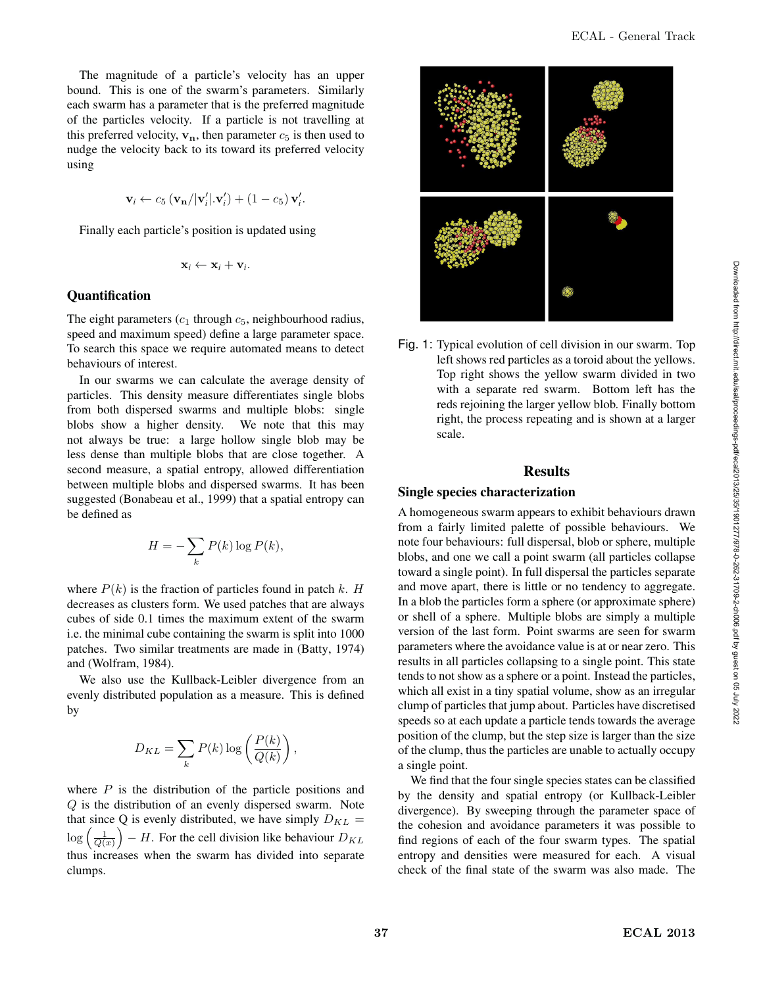The magnitude of a particle's velocity has an upper bound. This is one of the swarm's parameters. Similarly each swarm has a parameter that is the preferred magnitude of the particles velocity. If a particle is not travelling at this preferred velocity,  $v_n$ , then parameter  $c_5$  is then used to nudge the velocity back to its toward its preferred velocity using

$$
\mathbf{v}_i \leftarrow c_5 \left( \mathbf{v}_\mathbf{n} / |\mathbf{v}'_i| . \mathbf{v}'_i \right) + \left( 1 - c_5 \right) \mathbf{v}'_i.
$$

Finally each particle's position is updated using

$$
\mathbf{x}_i \leftarrow \mathbf{x}_i + \mathbf{v}_i.
$$

#### **Quantification**

The eight parameters  $(c_1$  through  $c_5$ , neighbourhood radius, speed and maximum speed) define a large parameter space. To search this space we require automated means to detect behaviours of interest.

In our swarms we can calculate the average density of particles. This density measure differentiates single blobs from both dispersed swarms and multiple blobs: single blobs show a higher density. We note that this may not always be true: a large hollow single blob may be less dense than multiple blobs that are close together. A second measure, a spatial entropy, allowed differentiation between multiple blobs and dispersed swarms. It has been suggested (Bonabeau et al., 1999) that a spatial entropy can be defined as

$$
H = -\sum_{k} P(k) \log P(k),
$$

where  $P(k)$  is the fraction of particles found in patch k. H decreases as clusters form. We used patches that are always cubes of side 0.1 times the maximum extent of the swarm i.e. the minimal cube containing the swarm is split into 1000 patches. Two similar treatments are made in (Batty, 1974) and (Wolfram, 1984).

We also use the Kullback-Leibler divergence from an evenly distributed population as a measure. This is defined by

$$
D_{KL} = \sum_{k} P(k) \log \left( \frac{P(k)}{Q(k)} \right),
$$

where  $P$  is the distribution of the particle positions and Q is the distribution of an evenly dispersed swarm. Note that since Q is evenly distributed, we have simply  $D_{KL}$  =  $\log\left(\frac{1}{Q(x)}\right)$  $\Big) - H$ . For the cell division like behaviour  $D_{KL}$ thus increases when the swarm has divided into separate clumps.



Fig. 1: Typical evolution of cell division in our swarm. Top left shows red particles as a toroid about the yellows. Top right shows the yellow swarm divided in two with a separate red swarm. Bottom left has the reds rejoining the larger yellow blob. Finally bottom right, the process repeating and is shown at a larger scale.

#### **Results**

#### Single species characterization

A homogeneous swarm appears to exhibit behaviours drawn from a fairly limited palette of possible behaviours. We note four behaviours: full dispersal, blob or sphere, multiple blobs, and one we call a point swarm (all particles collapse toward a single point). In full dispersal the particles separate and move apart, there is little or no tendency to aggregate. In a blob the particles form a sphere (or approximate sphere) or shell of a sphere. Multiple blobs are simply a multiple version of the last form. Point swarms are seen for swarm parameters where the avoidance value is at or near zero. This results in all particles collapsing to a single point. This state tends to not show as a sphere or a point. Instead the particles, which all exist in a tiny spatial volume, show as an irregular clump of particles that jump about. Particles have discretised speeds so at each update a particle tends towards the average position of the clump, but the step size is larger than the size of the clump, thus the particles are unable to actually occupy a single point.

We find that the four single species states can be classified by the density and spatial entropy (or Kullback-Leibler divergence). By sweeping through the parameter space of the cohesion and avoidance parameters it was possible to find regions of each of the four swarm types. The spatial entropy and densities were measured for each. A visual check of the final state of the swarm was also made. The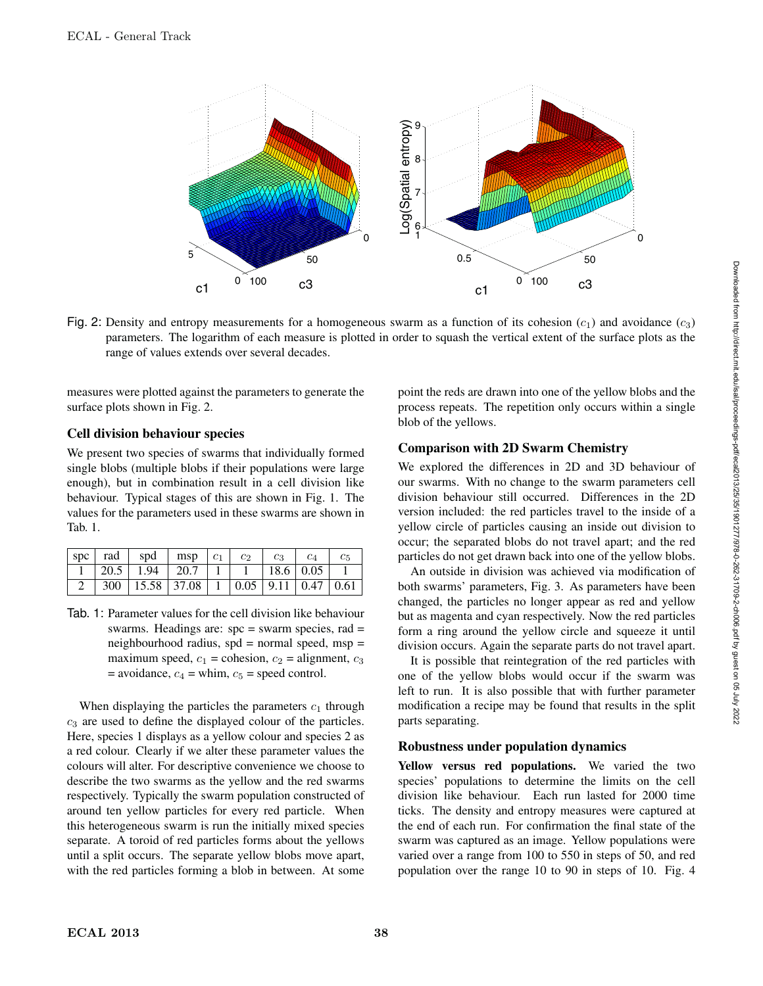

Fig. 2: Density and entropy measurements for a homogeneous swarm as a function of its cohesion  $(c_1)$  and avoidance  $(c_3)$ parameters. The logarithm of each measure is plotted in order to squash the vertical extent of the surface plots as the range of values extends over several decades.

measures were plotted against the parameters to generate the surface plots shown in Fig. 2.

### Cell division behaviour species

We present two species of swarms that individually formed single blobs (multiple blobs if their populations were large enough), but in combination result in a cell division like behaviour. Typical stages of this are shown in Fig. 1. The values for the parameters used in these swarms are shown in Tab. 1.

|  | $ $ spc $ $ rad $ $ spd     | msp   | c <sub>1</sub> | $\overline{c}$ | $c_3$ |                                      |  |
|--|-----------------------------|-------|----------------|----------------|-------|--------------------------------------|--|
|  | $\vert 20.5 \vert 1.94$     | 120.7 |                |                |       | $18.6 \pm 0.05$                      |  |
|  | $300 \mid 15.58 \mid 37.08$ |       |                |                |       | $\mid$ 1   0.05   9.11   0.47   0.61 |  |

Tab. 1: Parameter values for the cell division like behaviour swarms. Headings are:  $spc = swarm$  species, rad  $=$ neighbourhood radius,  $spd = normal speed$ ,  $msp =$ maximum speed,  $c_1$  = cohesion,  $c_2$  = alignment,  $c_3$  $=$  avoidance,  $c_4$  = whim,  $c_5$  = speed control.

When displaying the particles the parameters  $c_1$  through  $c<sub>3</sub>$  are used to define the displayed colour of the particles. Here, species 1 displays as a yellow colour and species 2 as a red colour. Clearly if we alter these parameter values the colours will alter. For descriptive convenience we choose to describe the two swarms as the yellow and the red swarms respectively. Typically the swarm population constructed of around ten yellow particles for every red particle. When this heterogeneous swarm is run the initially mixed species separate. A toroid of red particles forms about the yellows until a split occurs. The separate yellow blobs move apart, with the red particles forming a blob in between. At some

point the reds are drawn into one of the yellow blobs and the process repeats. The repetition only occurs within a single blob of the yellows.

# Comparison with 2D Swarm Chemistry

We explored the differences in 2D and 3D behaviour of our swarms. With no change to the swarm parameters cell division behaviour still occurred. Differences in the 2D version included: the red particles travel to the inside of a yellow circle of particles causing an inside out division to occur; the separated blobs do not travel apart; and the red particles do not get drawn back into one of the yellow blobs.

An outside in division was achieved via modification of both swarms' parameters, Fig. 3. As parameters have been changed, the particles no longer appear as red and yellow but as magenta and cyan respectively. Now the red particles form a ring around the yellow circle and squeeze it until division occurs. Again the separate parts do not travel apart.

It is possible that reintegration of the red particles with one of the yellow blobs would occur if the swarm was left to run. It is also possible that with further parameter modification a recipe may be found that results in the split parts separating.

# Robustness under population dynamics

Yellow versus red populations. We varied the two species' populations to determine the limits on the cell division like behaviour. Each run lasted for 2000 time ticks. The density and entropy measures were captured at the end of each run. For confirmation the final state of the swarm was captured as an image. Yellow populations were varied over a range from 100 to 550 in steps of 50, and red population over the range 10 to 90 in steps of 10. Fig. 4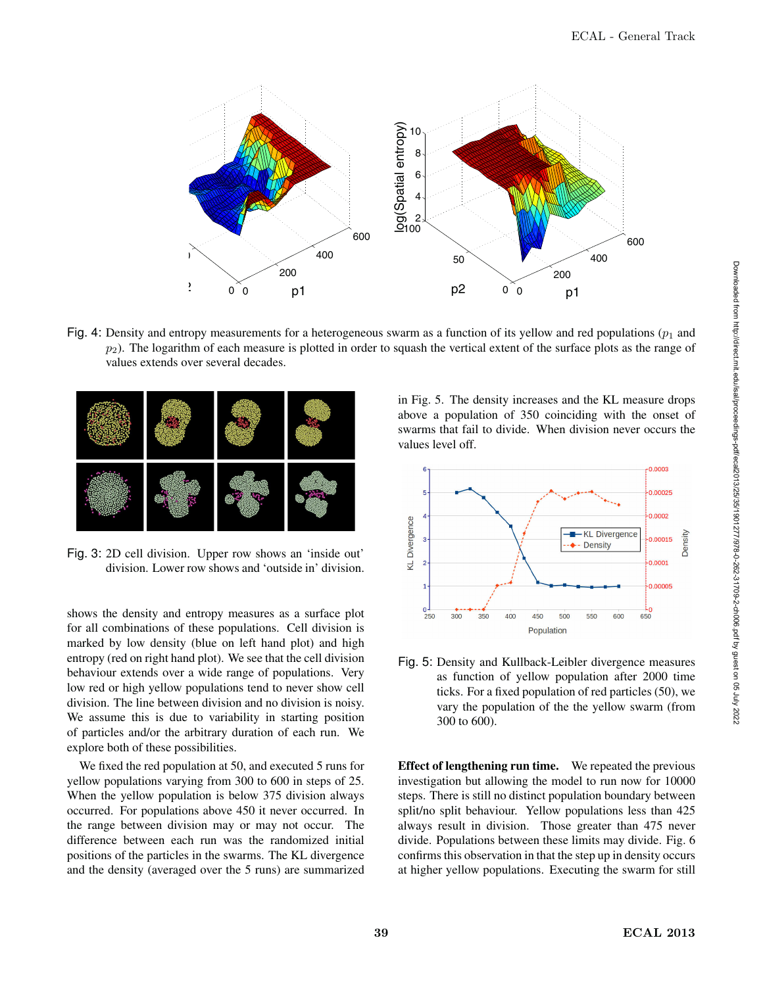

Fig. 4: Density and entropy measurements for a heterogeneous swarm as a function of its yellow and red populations ( $p_1$  and  $p_2$ ). The logarithm of each measure is plotted in order to squash the vertical extent of the surface plots as the range of values extends over several decades.

![](_page_4_Figure_3.jpeg)

Fig. 3: 2D cell division. Upper row shows an 'inside out' division. Lower row shows and 'outside in' division.

shows the density and entropy measures as a surface plot for all combinations of these populations. Cell division is marked by low density (blue on left hand plot) and high entropy (red on right hand plot). We see that the cell division behaviour extends over a wide range of populations. Very low red or high yellow populations tend to never show cell division. The line between division and no division is noisy. We assume this is due to variability in starting position of particles and/or the arbitrary duration of each run. We explore both of these possibilities.

We fixed the red population at 50, and executed 5 runs for yellow populations varying from 300 to 600 in steps of 25. When the yellow population is below 375 division always occurred. For populations above 450 it never occurred. In the range between division may or may not occur. The difference between each run was the randomized initial positions of the particles in the swarms. The KL divergence and the density (averaged over the 5 runs) are summarized in Fig. 5. The density increases and the KL measure drops above a population of 350 coinciding with the onset of swarms that fail to divide. When division never occurs the values level off.

![](_page_4_Figure_8.jpeg)

Fig. 5: Density and Kullback-Leibler divergence measures as function of yellow population after 2000 time ticks. For a fixed population of red particles (50), we vary the population of the the yellow swarm (from 300 to 600).

Effect of lengthening run time. We repeated the previous investigation but allowing the model to run now for 10000 steps. There is still no distinct population boundary between split/no split behaviour. Yellow populations less than 425 always result in division. Those greater than 475 never divide. Populations between these limits may divide. Fig. 6 confirms this observation in that the step up in density occurs at higher yellow populations. Executing the swarm for still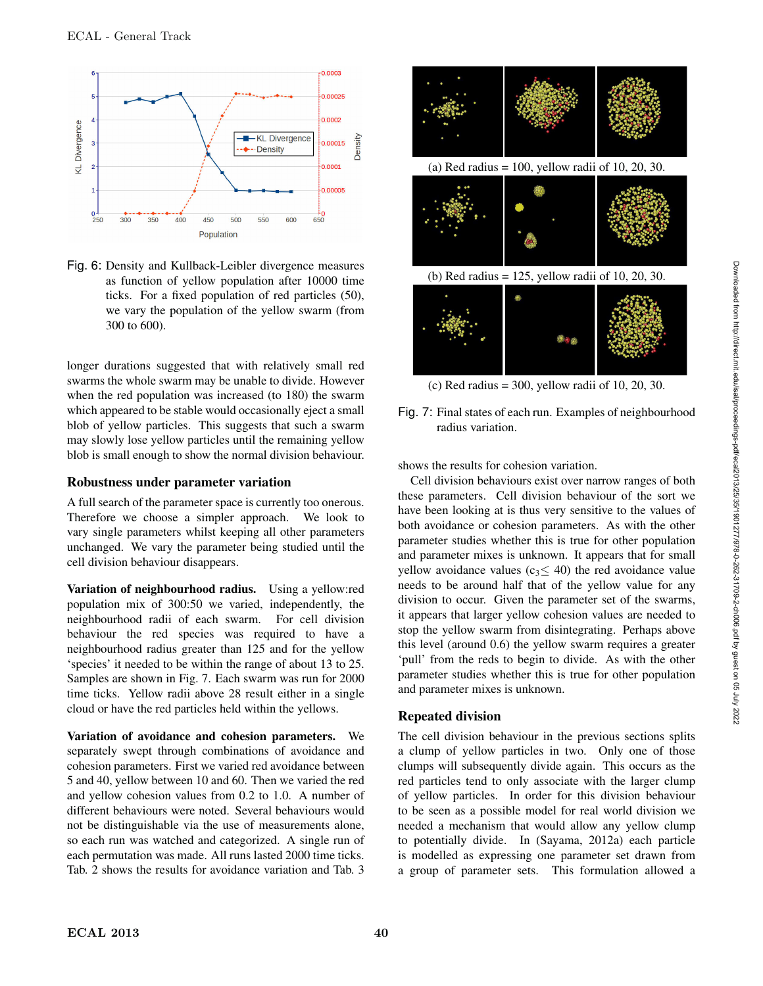![](_page_5_Figure_1.jpeg)

Fig. 6: Density and Kullback-Leibler divergence measures as function of yellow population after 10000 time ticks. For a fixed population of red particles (50), we vary the population of the yellow swarm (from 300 to 600).

longer durations suggested that with relatively small red swarms the whole swarm may be unable to divide. However when the red population was increased (to 180) the swarm which appeared to be stable would occasionally eject a small blob of yellow particles. This suggests that such a swarm may slowly lose yellow particles until the remaining yellow blob is small enough to show the normal division behaviour.

#### Robustness under parameter variation

A full search of the parameter space is currently too onerous. Therefore we choose a simpler approach. We look to vary single parameters whilst keeping all other parameters unchanged. We vary the parameter being studied until the cell division behaviour disappears.

Variation of neighbourhood radius. Using a yellow:red population mix of 300:50 we varied, independently, the neighbourhood radii of each swarm. For cell division behaviour the red species was required to have a neighbourhood radius greater than 125 and for the yellow 'species' it needed to be within the range of about 13 to 25. Samples are shown in Fig. 7. Each swarm was run for 2000 time ticks. Yellow radii above 28 result either in a single cloud or have the red particles held within the yellows.

Variation of avoidance and cohesion parameters. We separately swept through combinations of avoidance and cohesion parameters. First we varied red avoidance between 5 and 40, yellow between 10 and 60. Then we varied the red and yellow cohesion values from 0.2 to 1.0. A number of different behaviours were noted. Several behaviours would not be distinguishable via the use of measurements alone, so each run was watched and categorized. A single run of each permutation was made. All runs lasted 2000 time ticks. Tab. 2 shows the results for avoidance variation and Tab. 3

![](_page_5_Figure_8.jpeg)

(c) Red radius =  $300$ , yellow radii of 10, 20, 30.

shows the results for cohesion variation.

Cell division behaviours exist over narrow ranges of both these parameters. Cell division behaviour of the sort we have been looking at is thus very sensitive to the values of both avoidance or cohesion parameters. As with the other parameter studies whether this is true for other population and parameter mixes is unknown. It appears that for small yellow avoidance values (c<sub>3</sub> $\leq$  40) the red avoidance value needs to be around half that of the yellow value for any division to occur. Given the parameter set of the swarms, it appears that larger yellow cohesion values are needed to stop the yellow swarm from disintegrating. Perhaps above this level (around 0.6) the yellow swarm requires a greater 'pull' from the reds to begin to divide. As with the other parameter studies whether this is true for other population and parameter mixes is unknown.

# Repeated division

The cell division behaviour in the previous sections splits a clump of yellow particles in two. Only one of those clumps will subsequently divide again. This occurs as the red particles tend to only associate with the larger clump of yellow particles. In order for this division behaviour to be seen as a possible model for real world division we needed a mechanism that would allow any yellow clump to potentially divide. In (Sayama, 2012a) each particle is modelled as expressing one parameter set drawn from a group of parameter sets. This formulation allowed a

Fig. 7: Final states of each run. Examples of neighbourhood radius variation.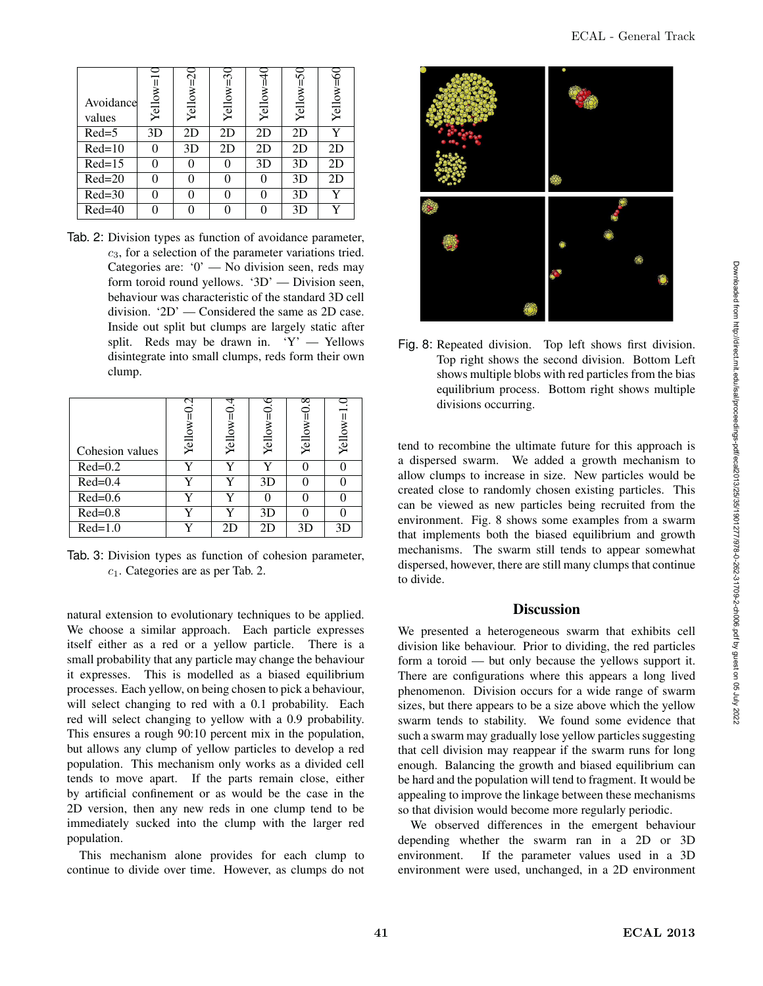| ۱<br>l<br>Ē<br>ł<br>$\overline{\phantom{a}}$<br>í<br>ĺ                                                                    |
|---------------------------------------------------------------------------------------------------------------------------|
| Ě<br>j<br>l,<br>í<br>i<br>ï<br>í<br>l<br>֚֚֚֬<br>ļ<br>ׇ֘֒                                                                 |
| Ì<br>:<br>ׇ֓֕֡<br>l<br>l<br>Ï<br>ì<br>¢<br>I<br>ׅ֧֚֚֚֚֚֚֚֚֚֚֚֚֡֡֡֡֡֡֡֡֡֡֡֡֡֡֬֝֬֞֝֬֞֝֬֞֝֓֞֝֬֞֝֬<br>֧֚֚֚֚֚֚֚֚֚֚֚֚֚֚֚֚֝<br>l |
| ֘֒<br>j<br>֕<br>١                                                                                                         |
| l<br>ׇ֚֘<br>١<br>į<br>$\ddot{\phantom{a}}$<br>ׇ֚֚֚֬<br>l                                                                  |
| i<br>$\ddot{\phantom{a}}$<br>ׇ֚֬֓֡<br>ì<br>I<br>₹<br>١                                                                    |

| Avoidance<br>values | Yellow= | $\mathrel{\sim}$<br>Yellow= | ⌒<br>$\sim$<br>Yellow= | Yellow= | 50<br>Yellow= | č<br>Yellow= |
|---------------------|---------|-----------------------------|------------------------|---------|---------------|--------------|
| $Red=5$             | 3D      | 2D                          | 2D                     | 2D      | 2D            | v            |
| $Red=10$            |         | 3D                          | 2D                     | 2D      | 2D            | 2D           |
| $Red=15$            |         |                             |                        | 3D      | 3D            | 2D           |
| $Red=20$            |         |                             | 0                      | 0       | 3D            | 2D           |
| $Red=30$            |         |                             |                        | 0       | 3D            | Y            |
| $Red=40$            |         |                             |                        | 0       | 3D            | v            |

Tab. 2: Division types as function of avoidance parameter,  $c_3$ , for a selection of the parameter variations tried. Categories are: '0' — No division seen, reds may form toroid round yellows. '3D' — Division seen, behaviour was characteristic of the standard 3D cell division. '2D' — Considered the same as 2D case. Inside out split but clumps are largely static after split. Reds may be drawn in. 'Y' — Yellows disintegrate into small clumps, reds form their own clump.

| Cohesion values | S<br>Yellow: | Yellow | ত<br>Yellow | $\infty$<br>Yellow | Ξ<br>Yellow= |
|-----------------|--------------|--------|-------------|--------------------|--------------|
| $Red=0.2$       | v            |        | v           |                    |              |
| $Red=0.4$       | v            |        | 3D          |                    |              |
| $Red=0.6$       | v            |        |             |                    |              |
| $Red=0.8$       | v            |        | 3D          |                    |              |
| $Red=1.0$       |              | 2D     | 2D          | 3D                 | 3D           |

Tab. 3: Division types as function of cohesion parameter,  $c_1$ . Categories are as per Tab. 2.

natural extension to evolutionary techniques to be applied. We choose a similar approach. Each particle expresses itself either as a red or a yellow particle. There is a small probability that any particle may change the behaviour it expresses. This is modelled as a biased equilibrium processes. Each yellow, on being chosen to pick a behaviour, will select changing to red with a 0.1 probability. Each red will select changing to yellow with a 0.9 probability. This ensures a rough 90:10 percent mix in the population, but allows any clump of yellow particles to develop a red population. This mechanism only works as a divided cell tends to move apart. If the parts remain close, either by artificial confinement or as would be the case in the 2D version, then any new reds in one clump tend to be immediately sucked into the clump with the larger red population.

This mechanism alone provides for each clump to continue to divide over time. However, as clumps do not

![](_page_6_Figure_8.jpeg)

Fig. 8: Repeated division. Top left shows first division. Top right shows the second division. Bottom Left shows multiple blobs with red particles from the bias equilibrium process. Bottom right shows multiple divisions occurring.

tend to recombine the ultimate future for this approach is a dispersed swarm. We added a growth mechanism to allow clumps to increase in size. New particles would be created close to randomly chosen existing particles. This can be viewed as new particles being recruited from the environment. Fig. 8 shows some examples from a swarm that implements both the biased equilibrium and growth mechanisms. The swarm still tends to appear somewhat dispersed, however, there are still many clumps that continue to divide.

#### **Discussion**

We presented a heterogeneous swarm that exhibits cell division like behaviour. Prior to dividing, the red particles form a toroid — but only because the yellows support it. There are configurations where this appears a long lived phenomenon. Division occurs for a wide range of swarm sizes, but there appears to be a size above which the yellow swarm tends to stability. We found some evidence that such a swarm may gradually lose yellow particles suggesting that cell division may reappear if the swarm runs for long enough. Balancing the growth and biased equilibrium can be hard and the population will tend to fragment. It would be appealing to improve the linkage between these mechanisms so that division would become more regularly periodic.

We observed differences in the emergent behaviour depending whether the swarm ran in a 2D or 3D environment. If the parameter values used in a 3D environment were used, unchanged, in a 2D environment